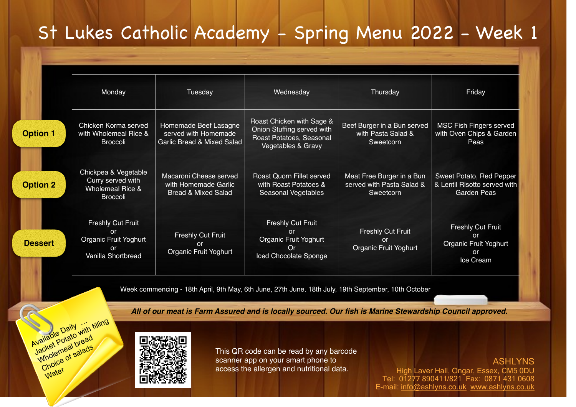## St Lukes Catholic Academy - Spring Menu 2022 - Week 1

|                 | Monday                                                                                      | Tuesday                                                                                | Wednesday                                                                                                 | Thursday                                                            | Friday                                                                         |
|-----------------|---------------------------------------------------------------------------------------------|----------------------------------------------------------------------------------------|-----------------------------------------------------------------------------------------------------------|---------------------------------------------------------------------|--------------------------------------------------------------------------------|
| <b>Option 1</b> | Chicken Korma served<br>with Wholemeal Rice &<br><b>Broccoli</b>                            | Homemade Beef Lasagne<br>served with Homemade<br><b>Garlic Bread &amp; Mixed Salad</b> | Roast Chicken with Sage &<br>Onion Stuffing served with<br>Roast Potatoes, Seasonal<br>Vegetables & Gravy | Beef Burger in a Bun served<br>with Pasta Salad &<br>Sweetcorn      | <b>MSC Fish Fingers served</b><br>with Oven Chips & Garden<br>Peas             |
| <b>Option 2</b> | Chickpea & Vegetable<br>Curry served with<br><b>Wholemeal Rice &amp;</b><br><b>Broccoli</b> | Macaroni Cheese served<br>with Homemade Garlic<br><b>Bread &amp; Mixed Salad</b>       | Roast Quorn Fillet served<br>with Roast Potatoes &<br>Seasonal Vegetables                                 | Meat Free Burger in a Bun<br>served with Pasta Salad &<br>Sweetcorn | Sweet Potato, Red Pepper<br>& Lentil Risotto served with<br><b>Garden Peas</b> |
| <b>Dessert</b>  | <b>Freshly Cut Fruit</b><br>or<br>Organic Fruit Yoghurt<br><b>or</b><br>Vanilla Shortbread  | Freshly Cut Fruit<br>or<br>Organic Fruit Yoghurt                                       | <b>Freshly Cut Fruit</b><br>or<br>Organic Fruit Yoghurt<br>Or<br>Iced Chocolate Sponge                    | <b>Freshly Cut Fruit</b><br>or<br>Organic Fruit Yoghurt             | <b>Freshly Cut Fruit</b><br>or<br>Organic Fruit Yoghurt<br>or<br>Ice Cream     |

Week commencing - 18th April, 9th May, 6th June, 27th June, 18th July, 19th September, 10th October

*All of our meat is Farm Assured and is locally sourced. Our fish is Marine Stewardship Council approved.*



Mailable Daily<br>Available Datato with filling<br>Jacket Potato bread Wholemeal bread Choice of salads

Water

This QR code can be read by any barcode scanner app on your smart phone to access the allergen and nutritional data.

ASHLYNS High Laver Hall, Ongar, Essex, CM5 0DU Tel: 01277 890411/821 Fax: 0871 431 0608 E-mail: [info@ashlyns.co.uk](mailto:info@ashlyns.co.uk) [www.ashlyns.co.uk](http://www.ashlyns.co.uk)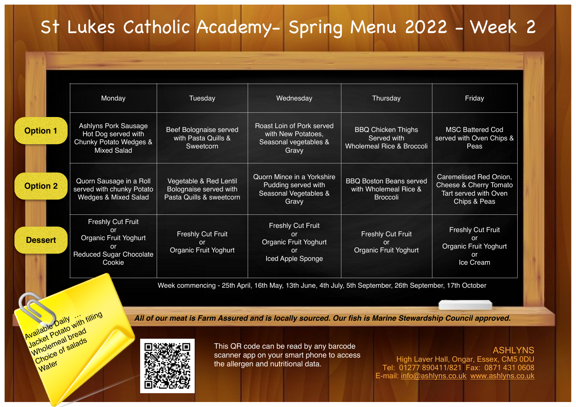## St Lukes Catholic Academy- Spring Menu 2022 - Week 2

|                 | Monday                                                                                                           | Tuesday                                                                      | Wednesday                                                                                                | Thursday                                                                         | Friday                                                                                               |
|-----------------|------------------------------------------------------------------------------------------------------------------|------------------------------------------------------------------------------|----------------------------------------------------------------------------------------------------------|----------------------------------------------------------------------------------|------------------------------------------------------------------------------------------------------|
| <b>Option 1</b> | Ashlyns Pork Sausage<br>Hot Dog served with<br>Chunky Potato Wedges &<br><b>Mixed Salad</b>                      | Beef Bolognaise served<br>with Pasta Quills &<br>Sweetcorn                   | Roast Loin of Pork served<br>with New Potatoes,<br>Seasonal vegetables &<br>Gravy                        | <b>BBQ Chicken Thighs</b><br>Served with<br><b>Wholemeal Rice &amp; Broccoli</b> | <b>MSC Battered Cod</b><br>served with Oven Chips &<br>Peas                                          |
| <b>Option 2</b> | Quorn Sausage in a Roll<br>served with chunky Potato<br>Wedges & Mixed Salad                                     | Vegetable & Red Lentil<br>Bolognaise served with<br>Pasta Quills & sweetcorn | Quorn Mince in a Yorkshire<br>Pudding served with<br>Seasonal Vegetables &<br>Gravy                      | <b>BBQ Boston Beans served</b><br>with Wholemeal Rice &<br><b>Broccoli</b>       | Caremelised Red Onion,<br>Cheese & Cherry Tomato<br>Tart served with Oven<br><b>Chips &amp; Peas</b> |
| <b>Dessert</b>  | <b>Freshly Cut Fruit</b><br>or<br>Organic Fruit Yoghurt<br><b>or</b><br><b>Reduced Sugar Chocolate</b><br>Cookie | <b>Freshly Cut Fruit</b><br>$\alpha$<br>Organic Fruit Yoghurt                | Freshly Cut Fruit<br>or<br>Organic Fruit Yoghurt<br><b>or</b><br>Iced Apple Sponge                       | <b>Freshly Cut Fruit</b><br>or<br>Organic Fruit Yoghurt                          | <b>Freshly Cut Fruit</b><br><b>or</b><br><b>Organic Fruit Yoghurt</b><br>or<br>Ice Cream             |
|                 |                                                                                                                  |                                                                              | Week commencing - 25th April, 16th May, 13th June, 4th July, 5th September, 26th September, 17th October |                                                                                  |                                                                                                      |

*All of our meat is Farm Assured and is locally sourced. Our fish is Marine Stewardship Council approved.*



Available Daily<br>Available Potato with filling<br>Jacket Potato bread Wholemeal bread Choice of salads

Water

This QR code can be read by any barcode scanner app on your smart phone to access the allergen and nutritional data.

ASHLYNS High Laver Hall, Ongar, Essex, CM5 0DU Tel: 01277 890411/821 Fax: 0871 431 0608 E-mail: [info@ashlyns.co.uk](mailto:info@ashlyns.co.uk) [www.ashlyns.co.uk](http://www.ashlyns.co.uk)